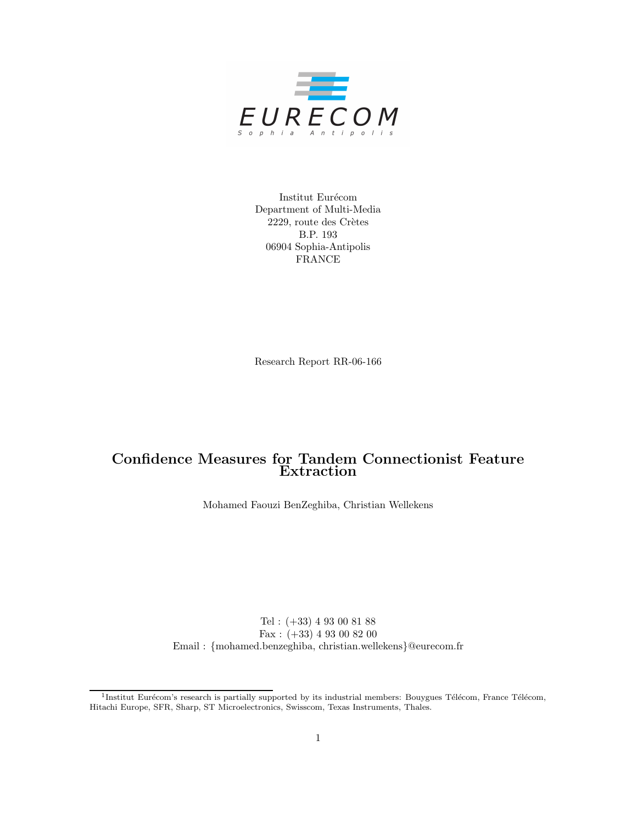

Institut Eurécom Department of Multi-Media 2229, route des Crètes B.P. 193 06904 Sophia-Antipolis FRANCE

Research Report RR-06-166

# Confidence Measures for Tandem Connectionist Feature Extraction

Mohamed Faouzi BenZeghiba, Christian Wellekens

Tel : (+33) 4 93 00 81 88 Fax : (+33) 4 93 00 82 00 Email : {mohamed.benzeghiba, christian.wellekens}@eurecom.fr

<sup>&</sup>lt;sup>1</sup>Institut Eurécom's research is partially supported by its industrial members: Bouygues Télécom, France Télécom, Hitachi Europe, SFR, Sharp, ST Microelectronics, Swisscom, Texas Instruments, Thales.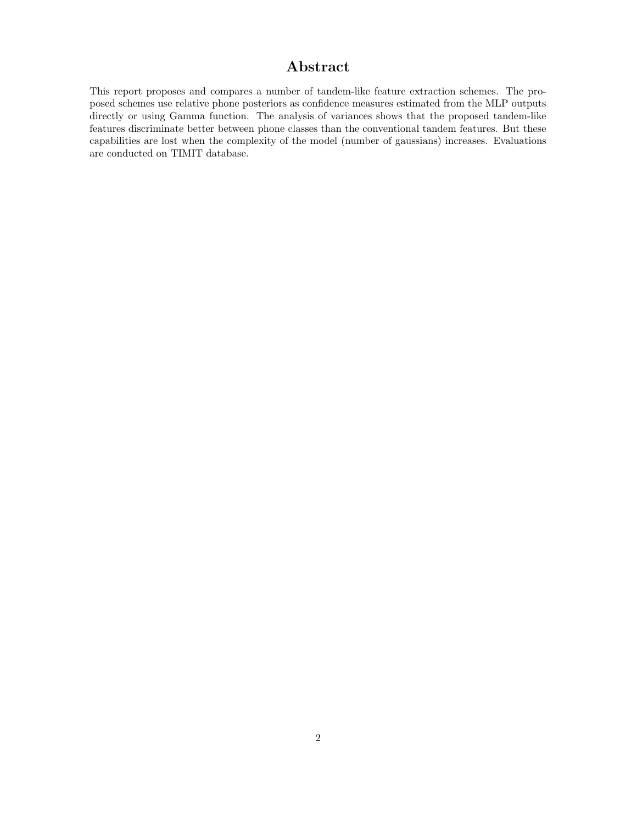# Abstract

This report proposes and compares a number of tandem-like feature extraction schemes. The proposed schemes use relative phone posteriors as confidence measures estimated from the MLP outputs directly or using Gamma function. The analysis of variances shows that the proposed tandem-like features discriminate better between phone classes than the conventional tandem features. But these capabilities are lost when the complexity of the model (number of gaussians) increases. Evaluations are conducted on TIMIT database.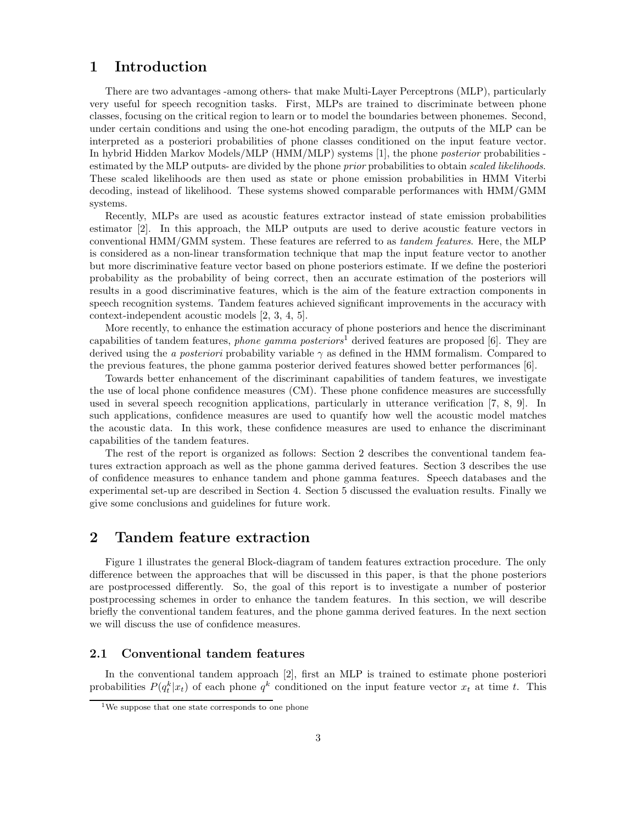## 1 Introduction

There are two advantages -among others- that make Multi-Layer Perceptrons (MLP), particularly very useful for speech recognition tasks. First, MLPs are trained to discriminate between phone classes, focusing on the critical region to learn or to model the boundaries between phonemes. Second, under certain conditions and using the one-hot encoding paradigm, the outputs of the MLP can be interpreted as a posteriori probabilities of phone classes conditioned on the input feature vector. In hybrid Hidden Markov Models/MLP (HMM/MLP) systems [1], the phone posterior probabilities estimated by the MLP outputs- are divided by the phone prior probabilities to obtain scaled likelihoods. These scaled likelihoods are then used as state or phone emission probabilities in HMM Viterbi decoding, instead of likelihood. These systems showed comparable performances with HMM/GMM systems.

Recently, MLPs are used as acoustic features extractor instead of state emission probabilities estimator [2]. In this approach, the MLP outputs are used to derive acoustic feature vectors in conventional HMM/GMM system. These features are referred to as tandem features. Here, the MLP is considered as a non-linear transformation technique that map the input feature vector to another but more discriminative feature vector based on phone posteriors estimate. If we define the posteriori probability as the probability of being correct, then an accurate estimation of the posteriors will results in a good discriminative features, which is the aim of the feature extraction components in speech recognition systems. Tandem features achieved significant improvements in the accuracy with context-independent acoustic models [2, 3, 4, 5].

More recently, to enhance the estimation accuracy of phone posteriors and hence the discriminant capabilities of tandem features, *phone gamma posteriors*<sup>1</sup> derived features are proposed [6]. They are derived using the a posteriori probability variable  $\gamma$  as defined in the HMM formalism. Compared to the previous features, the phone gamma posterior derived features showed better performances [6].

Towards better enhancement of the discriminant capabilities of tandem features, we investigate the use of local phone confidence measures (CM). These phone confidence measures are successfully used in several speech recognition applications, particularly in utterance verification [7, 8, 9]. In such applications, confidence measures are used to quantify how well the acoustic model matches the acoustic data. In this work, these confidence measures are used to enhance the discriminant capabilities of the tandem features.

The rest of the report is organized as follows: Section 2 describes the conventional tandem features extraction approach as well as the phone gamma derived features. Section 3 describes the use of confidence measures to enhance tandem and phone gamma features. Speech databases and the experimental set-up are described in Section 4. Section 5 discussed the evaluation results. Finally we give some conclusions and guidelines for future work.

# 2 Tandem feature extraction

Figure 1 illustrates the general Block-diagram of tandem features extraction procedure. The only difference between the approaches that will be discussed in this paper, is that the phone posteriors are postprocessed differently. So, the goal of this report is to investigate a number of posterior postprocessing schemes in order to enhance the tandem features. In this section, we will describe briefly the conventional tandem features, and the phone gamma derived features. In the next section we will discuss the use of confidence measures.

#### 2.1 Conventional tandem features

In the conventional tandem approach [2], first an MLP is trained to estimate phone posteriori probabilities  $P(q_t^k|x_t)$  of each phone  $q^k$  conditioned on the input feature vector  $x_t$  at time t. This

<sup>&</sup>lt;sup>1</sup>We suppose that one state corresponds to one phone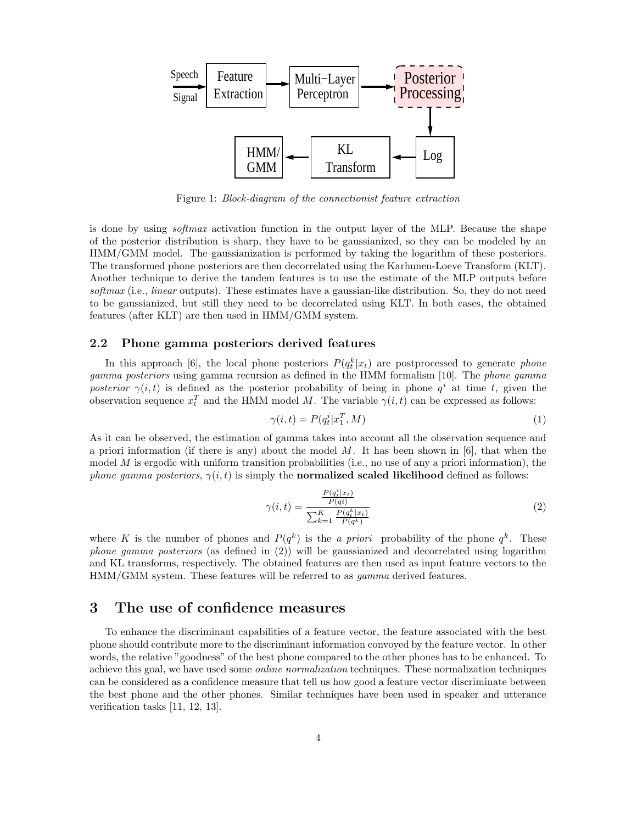

Figure 1: Block-diagram of the connectionist feature extraction

is done by using softmax activation function in the output layer of the MLP. Because the shape of the posterior distribution is sharp, they have to be gaussianized, so they can be modeled by an HMM/GMM model. The gaussianization is performed by taking the logarithm of these posteriors. The transformed phone posteriors are then decorrelated using the Karhunen-Loeve Transform (KLT). Another technique to derive the tandem features is to use the estimate of the MLP outputs before softmax (i.e., linear outputs). These estimates have a gaussian-like distribution. So, they do not need to be gaussianized, but still they need to be decorrelated using KLT. In both cases, the obtained features (after KLT) are then used in HMM/GMM system.

#### 2.2 Phone gamma posteriors derived features

In this approach [6], the local phone posteriors  $P(q_t^k|x_t)$  are postprocessed to generate phone gamma posteriors using gamma recursion as defined in the HMM formalism [10]. The phone gamma posterior  $\gamma(i,t)$  is defined as the posterior probability of being in phone  $q^i$  at time t, given the observation sequence  $x_t^T$  and the HMM model M. The variable  $\gamma(i,t)$  can be expressed as follows:

$$
\gamma(i,t) = P(q_t^i | x_1^T, M) \tag{1}
$$

As it can be observed, the estimation of gamma takes into account all the observation sequence and a priori information (if there is any) about the model  $M$ . It has been shown in [6], that when the model  $M$  is ergodic with uniform transition probabilities (i.e., no use of any a priori information), the phone gamma posteriors,  $\gamma(i, t)$  is simply the **normalized scaled likelihood** defined as follows:

$$
\gamma(i,t) = \frac{\frac{P(q_t^i|x_t)}{P(q_i)}}{\sum_{k=1}^K \frac{P(q_t^k|x_t)}{P(q^k)}}\tag{2}
$$

where K is the number of phones and  $P(q^k)$  is the a priori probability of the phone  $q^k$ . These phone gamma posteriors (as defined in (2)) will be gaussianized and decorrelated using logarithm and KL transforms, respectively. The obtained features are then used as input feature vectors to the HMM/GMM system. These features will be referred to as gamma derived features.

## 3 The use of confidence measures

To enhance the discriminant capabilities of a feature vector, the feature associated with the best phone should contribute more to the discriminant information convoyed by the feature vector. In other words, the relative "goodness" of the best phone compared to the other phones has to be enhanced. To achieve this goal, we have used some online normalization techniques. These normalization techniques can be considered as a confidence measure that tell us how good a feature vector discriminate between the best phone and the other phones. Similar techniques have been used in speaker and utterance verification tasks [11, 12, 13].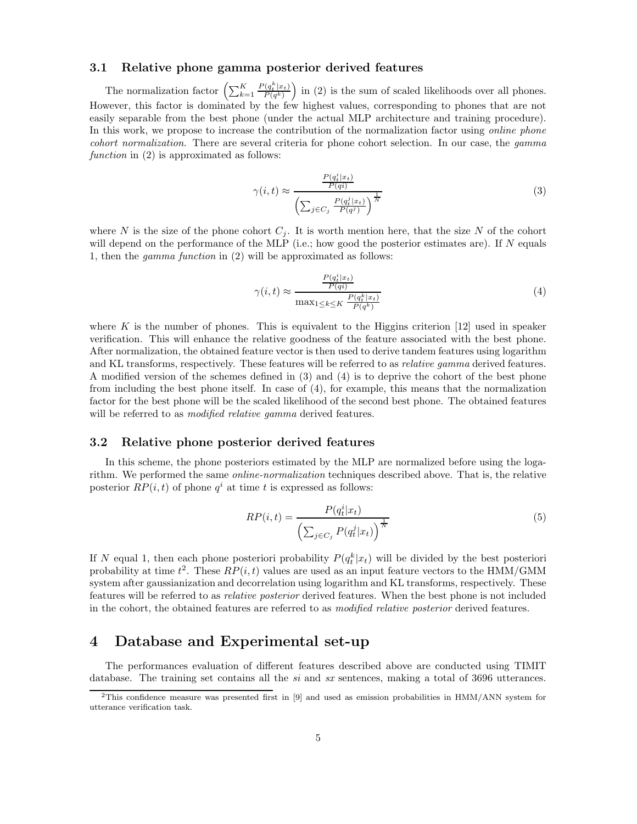#### 3.1 Relative phone gamma posterior derived features

The normalization factor  $\left(\sum_{k=1}^K\right)$  $P(q_t^k|x_t)$  $\frac{\Gamma(q_t^k|x_t)}{P(q^k)}$  in (2) is the sum of scaled likelihoods over all phones. However, this factor is dominated by the few highest values, corresponding to phones that are not easily separable from the best phone (under the actual MLP architecture and training procedure). In this work, we propose to increase the contribution of the normalization factor using *online phone* cohort normalization. There are several criteria for phone cohort selection. In our case, the gamma function in (2) is approximated as follows:

$$
\gamma(i,t) \approx \frac{\frac{P(q_t^i|x_t)}{P(q_i)}}{\left(\sum_{j \in C_j} \frac{P(q_t^j|x_t)}{P(q^j)}\right)^{\frac{1}{N}}}
$$
\n(3)

where N is the size of the phone cohort  $C_i$ . It is worth mention here, that the size N of the cohort will depend on the performance of the MLP (i.e.; how good the posterior estimates are). If  $N$  equals 1, then the gamma function in (2) will be approximated as follows:

$$
\gamma(i,t) \approx \frac{\frac{P(q_t^i | x_t)}{P(q_i)}}{\max_{1 \le k \le K} \frac{P(q_t^k | x_t)}{P(q^k)}}\tag{4}
$$

where K is the number of phones. This is equivalent to the Higgins criterion  $[12]$  used in speaker verification. This will enhance the relative goodness of the feature associated with the best phone. After normalization, the obtained feature vector is then used to derive tandem features using logarithm and KL transforms, respectively. These features will be referred to as relative gamma derived features. A modified version of the schemes defined in (3) and (4) is to deprive the cohort of the best phone from including the best phone itself. In case of (4), for example, this means that the normalization factor for the best phone will be the scaled likelihood of the second best phone. The obtained features will be referred to as *modified relative gamma* derived features.

#### 3.2 Relative phone posterior derived features

In this scheme, the phone posteriors estimated by the MLP are normalized before using the logarithm. We performed the same online-normalization techniques described above. That is, the relative posterior  $RP(i, t)$  of phone  $q<sup>i</sup>$  at time t is expressed as follows:

$$
RP(i,t) = \frac{P(q_t^i|x_t)}{\left(\sum_{j \in C_j} P(q_t^j|x_t)\right)^{\frac{1}{N}}}
$$
\n
$$
(5)
$$

If N equal 1, then each phone posteriori probability  $P(q_t^k|x_t)$  will be divided by the best posteriori probability at time  $t^2$ . These  $RP(i, t)$  values are used as an input feature vectors to the HMM/GMM system after gaussianization and decorrelation using logarithm and KL transforms, respectively. These features will be referred to as relative posterior derived features. When the best phone is not included in the cohort, the obtained features are referred to as modified relative posterior derived features.

## 4 Database and Experimental set-up

The performances evaluation of different features described above are conducted using TIMIT database. The training set contains all the si and sx sentences, making a total of 3696 utterances.

<sup>2</sup>This confidence measure was presented first in [9] and used as emission probabilities in HMM/ANN system for utterance verification task.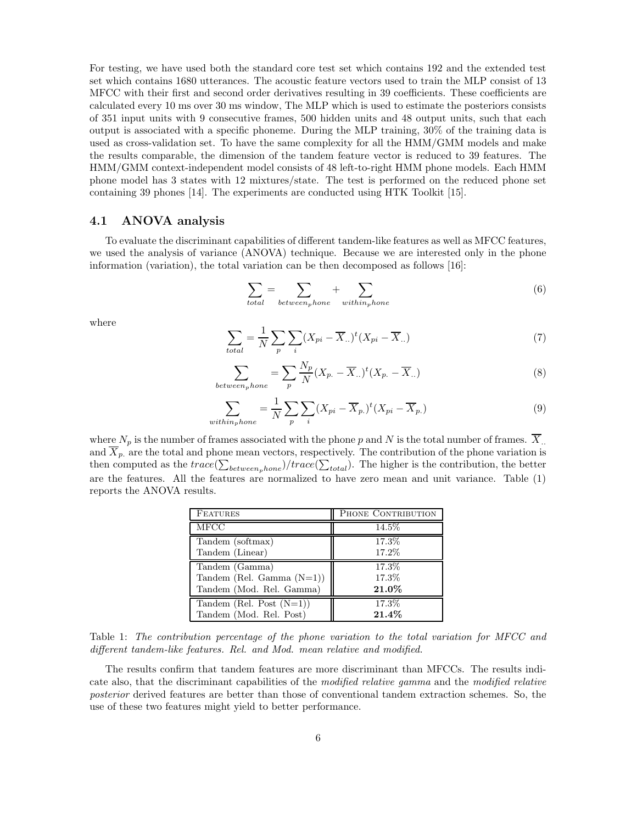For testing, we have used both the standard core test set which contains 192 and the extended test set which contains 1680 utterances. The acoustic feature vectors used to train the MLP consist of 13 MFCC with their first and second order derivatives resulting in 39 coefficients. These coefficients are calculated every 10 ms over 30 ms window, The MLP which is used to estimate the posteriors consists of 351 input units with 9 consecutive frames, 500 hidden units and 48 output units, such that each output is associated with a specific phoneme. During the MLP training, 30% of the training data is used as cross-validation set. To have the same complexity for all the HMM/GMM models and make the results comparable, the dimension of the tandem feature vector is reduced to 39 features. The HMM/GMM context-independent model consists of 48 left-to-right HMM phone models. Each HMM phone model has 3 states with 12 mixtures/state. The test is performed on the reduced phone set containing 39 phones [14]. The experiments are conducted using HTK Toolkit [15].

#### 4.1 ANOVA analysis

To evaluate the discriminant capabilities of different tandem-like features as well as MFCC features, we used the analysis of variance (ANOVA) technique. Because we are interested only in the phone information (variation), the total variation can be then decomposed as follows [16]:

$$
\sum_{total} = \sum_{between_{p}bone} + \sum_{within_{p}home} \tag{6}
$$

where

$$
\sum_{total} = \frac{1}{N} \sum_{p} \sum_{i} (X_{pi} - \overline{X}_{..})^{t} (X_{pi} - \overline{X}_{..})
$$
\n(7)

$$
\sum_{between_{p}home} = \sum_{p} \frac{N_{p}}{N} (X_{p.} - \overline{X}_{..})^{t} (X_{p.} - \overline{X}_{..})
$$
\n(8)

$$
\sum_{within_{p}hone} = \frac{1}{N} \sum_{p} \sum_{i} (X_{pi} - \overline{X}_{p.})^{t} (X_{pi} - \overline{X}_{p.})
$$
\n(9)

where  $N_p$  is the number of frames associated with the phone p and N is the total number of frames.  $\overline{X}$ . and  $\overline{X}_p$  are the total and phone mean vectors, respectively. The contribution of the phone variation is then computed as the  $trace(\sum_{between_{p}bone})/trace(\sum_{total})$ . The higher is the contribution, the better are the features. All the features are normalized to have zero mean and unit variance. Table (1) reports the ANOVA results.

| <b>FEATURES</b>              | PHONE CONTRIBUTION |  |
|------------------------------|--------------------|--|
| <b>MFCC</b>                  | 14.5%              |  |
| Tandem (softmax)             | 17.3%              |  |
| Tandem (Linear)              | 17.2%              |  |
| Tandem (Gamma)               | 17.3%              |  |
| Tandem (Rel. Gamma $(N=1)$ ) | 17.3%              |  |
| Tandem (Mod. Rel. Gamma)     | $21.0\%$           |  |
| Tandem (Rel. Post $(N=1)$ )  | 17.3%              |  |
| Tandem (Mod. Rel. Post)      | $21.4\%$           |  |

Table 1: The contribution percentage of the phone variation to the total variation for MFCC and different tandem-like features. Rel. and Mod. mean relative and modified.

The results confirm that tandem features are more discriminant than MFCCs. The results indicate also, that the discriminant capabilities of the modified relative gamma and the modified relative posterior derived features are better than those of conventional tandem extraction schemes. So, the use of these two features might yield to better performance.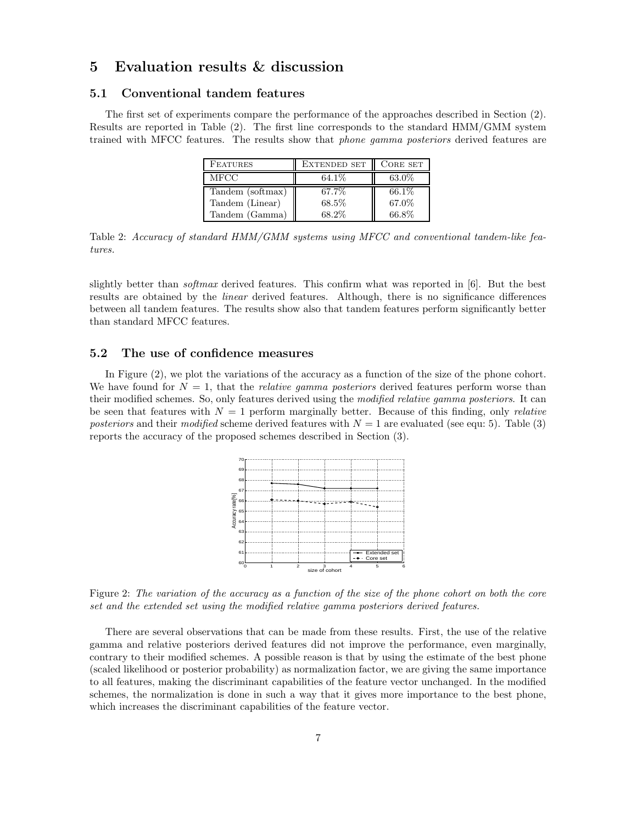# 5 Evaluation results & discussion

#### 5.1 Conventional tandem features

The first set of experiments compare the performance of the approaches described in Section (2). Results are reported in Table (2). The first line corresponds to the standard HMM/GMM system trained with MFCC features. The results show that phone gamma posteriors derived features are

| <b>FEATURES</b>  | <b>EXTENDED SET</b> | CORE SET |
|------------------|---------------------|----------|
| MFCC             | 64.1\%              | $63.0\%$ |
| Tandem (softmax) | 67.7%               | 66.1\%   |
| Tandem (Linear)  | 68.5%               | 67.0%    |
| Tandem (Gamma)   | 68.2%               | $66.8\%$ |

Table 2: Accuracy of standard HMM/GMM systems using MFCC and conventional tandem-like features.

slightly better than *softmax* derived features. This confirm what was reported in [6]. But the best results are obtained by the linear derived features. Although, there is no significance differences between all tandem features. The results show also that tandem features perform significantly better than standard MFCC features.

#### 5.2 The use of confidence measures

In Figure (2), we plot the variations of the accuracy as a function of the size of the phone cohort. We have found for  $N = 1$ , that the *relative gamma posteriors* derived features perform worse than their modified schemes. So, only features derived using the modified relative gamma posteriors. It can be seen that features with  $N = 1$  perform marginally better. Because of this finding, only *relative* posteriors and their modified scheme derived features with  $N = 1$  are evaluated (see equ: 5). Table (3) reports the accuracy of the proposed schemes described in Section (3).



Figure 2: The variation of the accuracy as a function of the size of the phone cohort on both the core set and the extended set using the modified relative gamma posteriors derived features.

There are several observations that can be made from these results. First, the use of the relative gamma and relative posteriors derived features did not improve the performance, even marginally, contrary to their modified schemes. A possible reason is that by using the estimate of the best phone (scaled likelihood or posterior probability) as normalization factor, we are giving the same importance to all features, making the discriminant capabilities of the feature vector unchanged. In the modified schemes, the normalization is done in such a way that it gives more importance to the best phone, which increases the discriminant capabilities of the feature vector.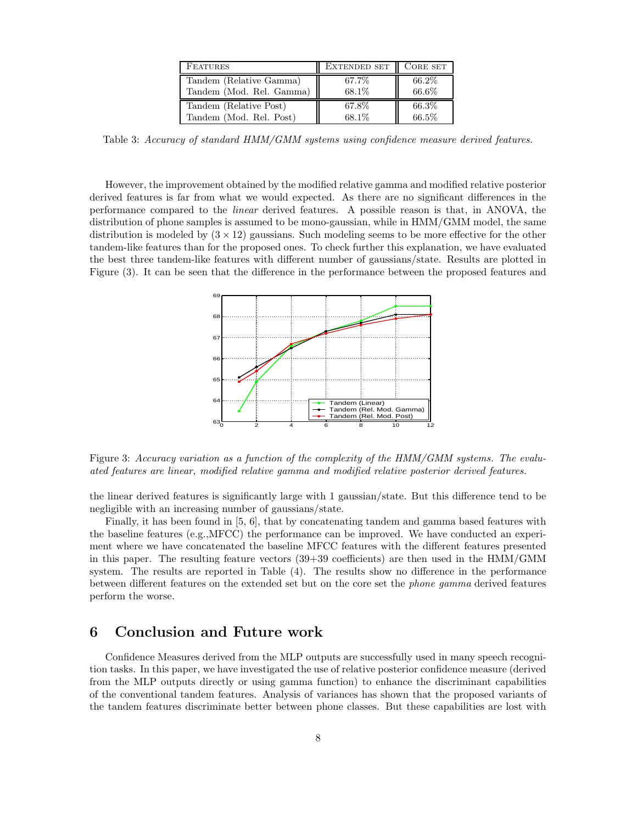| <b>FEATURES</b>          | <b>EXTENDED SET</b> | CORE SET |
|--------------------------|---------------------|----------|
| Tandem (Relative Gamma)  | 67.7%               | 66.2%    |
| Tandem (Mod. Rel. Gamma) | 68.1%               | 66.6%    |
| Tandem (Relative Post)   | 67.8%               | 66.3%    |
| Tandem (Mod. Rel. Post)  | 68.1%               | 66.5%    |

Table 3: Accuracy of standard HMM/GMM systems using confidence measure derived features.

However, the improvement obtained by the modified relative gamma and modified relative posterior derived features is far from what we would expected. As there are no significant differences in the performance compared to the linear derived features. A possible reason is that, in ANOVA, the distribution of phone samples is assumed to be mono-gaussian, while in HMM/GMM model, the same distribution is modeled by  $(3 \times 12)$  gaussians. Such modeling seems to be more effective for the other tandem-like features than for the proposed ones. To check further this explanation, we have evaluated the best three tandem-like features with different number of gaussians/state. Results are plotted in Figure (3). It can be seen that the difference in the performance between the proposed features and



Figure 3: Accuracy variation as a function of the complexity of the HMM/GMM systems. The evaluated features are linear, modified relative gamma and modified relative posterior derived features.

the linear derived features is significantly large with 1 gaussian/state. But this difference tend to be negligible with an increasing number of gaussians/state.

Finally, it has been found in [5, 6], that by concatenating tandem and gamma based features with the baseline features (e.g.,MFCC) the performance can be improved. We have conducted an experiment where we have concatenated the baseline MFCC features with the different features presented in this paper. The resulting feature vectors (39+39 coefficients) are then used in the HMM/GMM system. The results are reported in Table (4). The results show no difference in the performance between different features on the extended set but on the core set the phone gamma derived features perform the worse.

## 6 Conclusion and Future work

Confidence Measures derived from the MLP outputs are successfully used in many speech recognition tasks. In this paper, we have investigated the use of relative posterior confidence measure (derived from the MLP outputs directly or using gamma function) to enhance the discriminant capabilities of the conventional tandem features. Analysis of variances has shown that the proposed variants of the tandem features discriminate better between phone classes. But these capabilities are lost with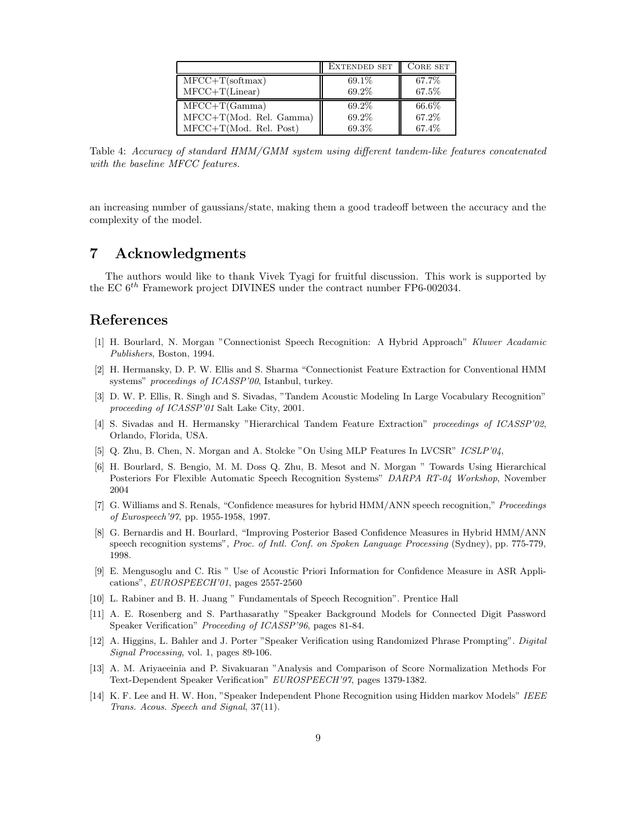|                          | <b>EXTENDED SET</b> | CORE SET |
|--------------------------|---------------------|----------|
| $MFCC+T(\text{softmax})$ | 69.1%               | 67.7%    |
| $MFCC+T(Linear)$         | 69.2%               | 67.5%    |
| $MFCC+T(Gamma)$          | 69.2%               | 66.6%    |
| MFCC+T(Mod. Rel. Gamma)  | 69.2%               | 67.2%    |
| $MFCC+T(Mod. Rel. Post)$ | 69.3%               | 67.4%    |

Table 4: Accuracy of standard HMM/GMM system using different tandem-like features concatenated with the baseline MFCC features.

an increasing number of gaussians/state, making them a good tradeoff between the accuracy and the complexity of the model.

# 7 Acknowledgments

The authors would like to thank Vivek Tyagi for fruitful discussion. This work is supported by the EC  $6^{th}$  Framework project DIVINES under the contract number FP6-002034.

# References

- [1] H. Bourlard, N. Morgan "Connectionist Speech Recognition: A Hybrid Approach" Kluwer Acadamic Publishers, Boston, 1994.
- [2] H. Hermansky, D. P. W. Ellis and S. Sharma "Connectionist Feature Extraction for Conventional HMM systems" proceedings of ICASSP'00, Istanbul, turkey.
- [3] D. W. P. Ellis, R. Singh and S. Sivadas, "Tandem Acoustic Modeling In Large Vocabulary Recognition" proceeding of ICASSP'01 Salt Lake City, 2001.
- [4] S. Sivadas and H. Hermansky "Hierarchical Tandem Feature Extraction" proceedings of ICASSP'02, Orlando, Florida, USA.
- [5] Q. Zhu, B. Chen, N. Morgan and A. Stolcke "On Using MLP Features In LVCSR" ICSLP'04,
- [6] H. Bourlard, S. Bengio, M. M. Doss Q. Zhu, B. Mesot and N. Morgan " Towards Using Hierarchical Posteriors For Flexible Automatic Speech Recognition Systems" DARPA RT-04 Workshop, November 2004
- [7] G. Williams and S. Renals, "Confidence measures for hybrid HMM/ANN speech recognition," Proceedings of Eurospeech'97, pp. 1955-1958, 1997.
- [8] G. Bernardis and H. Bourlard, "Improving Posterior Based Confidence Measures in Hybrid HMM/ANN speech recognition systems", Proc. of Intl. Conf. on Spoken Language Processing (Sydney), pp. 775-779, 1998.
- [9] E. Mengusoglu and C. Ris " Use of Acoustic Priori Information for Confidence Measure in ASR Applications", EUROSPEECH'01, pages 2557-2560
- [10] L. Rabiner and B. H. Juang " Fundamentals of Speech Recognition". Prentice Hall
- [11] A. E. Rosenberg and S. Parthasarathy "Speaker Background Models for Connected Digit Password Speaker Verification" Proceeding of ICASSP'96, pages 81-84.
- [12] A. Higgins, L. Bahler and J. Porter "Speaker Verification using Randomized Phrase Prompting". Digital Signal Processing, vol. 1, pages 89-106.
- [13] A. M. Ariyaeeinia and P. Sivakuaran "Analysis and Comparison of Score Normalization Methods For Text-Dependent Speaker Verification" EUROSPEECH'97, pages 1379-1382.
- [14] K. F. Lee and H. W. Hon, "Speaker Independent Phone Recognition using Hidden markov Models" IEEE Trans. Acous. Speech and Signal, 37(11).